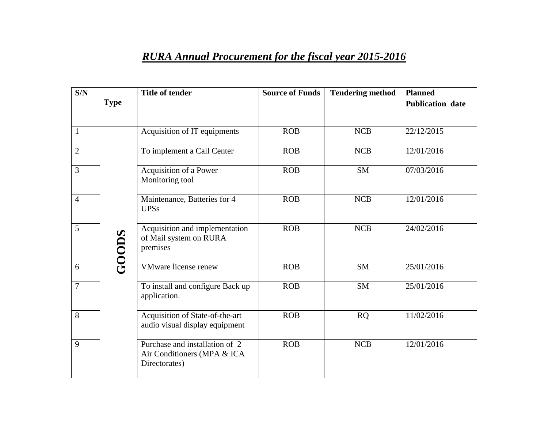## *RURA Annual Procurement for the fiscal year 2015-2016*

| S/N            |              | <b>Title of tender</b>                                                         | <b>Source of Funds</b> | <b>Tendering method</b> | <b>Planned</b>          |
|----------------|--------------|--------------------------------------------------------------------------------|------------------------|-------------------------|-------------------------|
|                | <b>Type</b>  |                                                                                |                        |                         | <b>Publication date</b> |
|                |              |                                                                                |                        |                         |                         |
| $\mathbf{1}$   |              | Acquisition of IT equipments                                                   | <b>ROB</b>             | <b>NCB</b>              | 22/12/2015              |
| $\overline{2}$ |              | To implement a Call Center                                                     | <b>ROB</b>             | <b>NCB</b>              | 12/01/2016              |
| $\overline{3}$ |              | Acquisition of a Power<br>Monitoring tool                                      | <b>ROB</b>             | <b>SM</b>               | 07/03/2016              |
| $\overline{4}$ |              | Maintenance, Batteries for 4<br><b>UPSs</b>                                    | <b>ROB</b>             | <b>NCB</b>              | 12/01/2016              |
| 5              | <b>GOODS</b> | Acquisition and implementation<br>of Mail system on RURA<br>premises           | <b>ROB</b>             | <b>NCB</b>              | 24/02/2016              |
| 6              |              | VMware license renew                                                           | <b>ROB</b>             | <b>SM</b>               | 25/01/2016              |
| $\tau$         |              | To install and configure Back up<br>application.                               | <b>ROB</b>             | <b>SM</b>               | 25/01/2016              |
| 8              |              | Acquisition of State-of-the-art<br>audio visual display equipment              | <b>ROB</b>             | <b>RQ</b>               | 11/02/2016              |
| 9              |              | Purchase and installation of 2<br>Air Conditioners (MPA & ICA<br>Directorates) | <b>ROB</b>             | <b>NCB</b>              | 12/01/2016              |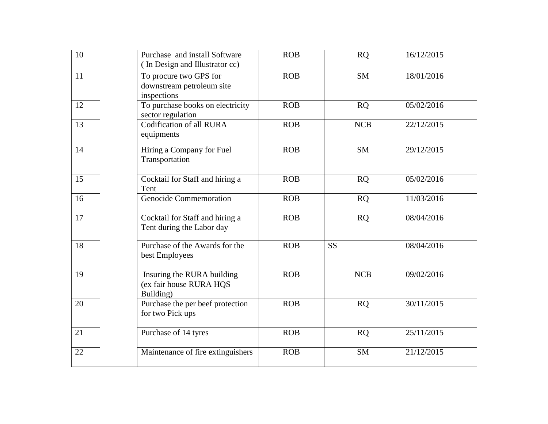| 10 | Purchase and install Software<br>(In Design and Illustrator cc)    | <b>ROB</b> | <b>RQ</b>  | 16/12/2015 |
|----|--------------------------------------------------------------------|------------|------------|------------|
| 11 | To procure two GPS for<br>downstream petroleum site<br>inspections | <b>ROB</b> | <b>SM</b>  | 18/01/2016 |
| 12 | To purchase books on electricity<br>sector regulation              | <b>ROB</b> | RQ         | 05/02/2016 |
| 13 | Codification of all RURA<br>equipments                             | <b>ROB</b> | <b>NCB</b> | 22/12/2015 |
| 14 | Hiring a Company for Fuel<br>Transportation                        | <b>ROB</b> | <b>SM</b>  | 29/12/2015 |
| 15 | Cocktail for Staff and hiring a<br>Tent                            | <b>ROB</b> | <b>RQ</b>  | 05/02/2016 |
| 16 | <b>Genocide Commemoration</b>                                      | <b>ROB</b> | <b>RQ</b>  | 11/03/2016 |
| 17 | Cocktail for Staff and hiring a<br>Tent during the Labor day       | <b>ROB</b> | <b>RQ</b>  | 08/04/2016 |
| 18 | Purchase of the Awards for the<br>best Employees                   | <b>ROB</b> | <b>SS</b>  | 08/04/2016 |
| 19 | Insuring the RURA building<br>(ex fair house RURA HQS<br>Building) | <b>ROB</b> | <b>NCB</b> | 09/02/2016 |
| 20 | Purchase the per beef protection<br>for two Pick ups               | <b>ROB</b> | <b>RQ</b>  | 30/11/2015 |
| 21 | Purchase of 14 tyres                                               | <b>ROB</b> | <b>RQ</b>  | 25/11/2015 |
| 22 | Maintenance of fire extinguishers                                  | <b>ROB</b> | <b>SM</b>  | 21/12/2015 |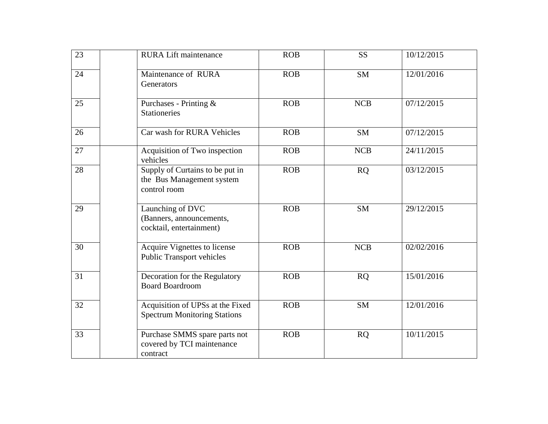| 23 | <b>RURA</b> Lift maintenance                                                 | <b>ROB</b> | <b>SS</b>  | 10/12/2015 |
|----|------------------------------------------------------------------------------|------------|------------|------------|
| 24 | Maintenance of RURA<br>Generators                                            | <b>ROB</b> | <b>SM</b>  | 12/01/2016 |
| 25 | Purchases - Printing &<br><b>Stationeries</b>                                | <b>ROB</b> | <b>NCB</b> | 07/12/2015 |
| 26 | Car wash for RURA Vehicles                                                   | <b>ROB</b> | <b>SM</b>  | 07/12/2015 |
| 27 | Acquisition of Two inspection<br>vehicles                                    | <b>ROB</b> | <b>NCB</b> | 24/11/2015 |
| 28 | Supply of Curtains to be put in<br>the Bus Management system<br>control room | <b>ROB</b> | <b>RQ</b>  | 03/12/2015 |
| 29 | Launching of DVC<br>(Banners, announcements,<br>cocktail, entertainment)     | <b>ROB</b> | <b>SM</b>  | 29/12/2015 |
| 30 | Acquire Vignettes to license<br><b>Public Transport vehicles</b>             | <b>ROB</b> | <b>NCB</b> | 02/02/2016 |
| 31 | Decoration for the Regulatory<br><b>Board Boardroom</b>                      | <b>ROB</b> | <b>RQ</b>  | 15/01/2016 |
| 32 | Acquisition of UPSs at the Fixed<br><b>Spectrum Monitoring Stations</b>      | <b>ROB</b> | <b>SM</b>  | 12/01/2016 |
| 33 | Purchase SMMS spare parts not<br>covered by TCI maintenance<br>contract      | <b>ROB</b> | <b>RQ</b>  | 10/11/2015 |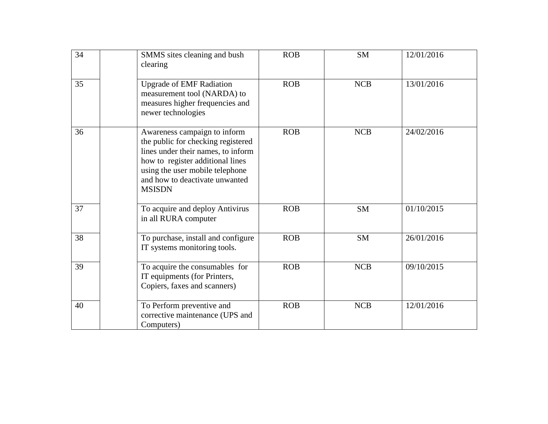| 34 | SMMS sites cleaning and bush<br>clearing                                                                                                                                                                                           | <b>ROB</b> | <b>SM</b>  | 12/01/2016 |
|----|------------------------------------------------------------------------------------------------------------------------------------------------------------------------------------------------------------------------------------|------------|------------|------------|
| 35 | <b>Upgrade of EMF Radiation</b><br>measurement tool (NARDA) to<br>measures higher frequencies and<br>newer technologies                                                                                                            | <b>ROB</b> | <b>NCB</b> | 13/01/2016 |
| 36 | Awareness campaign to inform<br>the public for checking registered<br>lines under their names, to inform<br>how to register additional lines<br>using the user mobile telephone<br>and how to deactivate unwanted<br><b>MSISDN</b> | <b>ROB</b> | <b>NCB</b> | 24/02/2016 |
| 37 | To acquire and deploy Antivirus<br>in all RURA computer                                                                                                                                                                            | <b>ROB</b> | <b>SM</b>  | 01/10/2015 |
| 38 | To purchase, install and configure<br>IT systems monitoring tools.                                                                                                                                                                 | <b>ROB</b> | <b>SM</b>  | 26/01/2016 |
| 39 | To acquire the consumables for<br>IT equipments (for Printers,<br>Copiers, faxes and scanners)                                                                                                                                     | <b>ROB</b> | <b>NCB</b> | 09/10/2015 |
| 40 | To Perform preventive and<br>corrective maintenance (UPS and<br>Computers)                                                                                                                                                         | <b>ROB</b> | <b>NCB</b> | 12/01/2016 |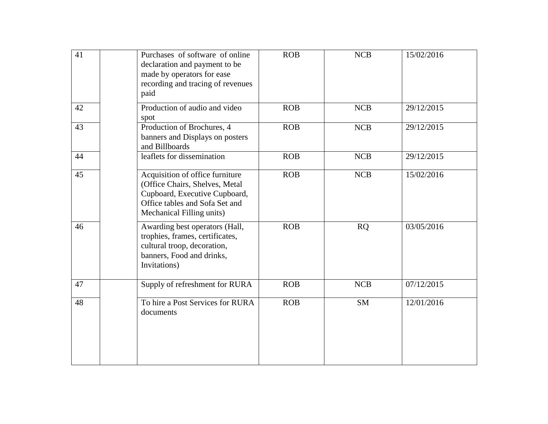| 41 | Purchases of software of online<br>declaration and payment to be<br>made by operators for ease<br>recording and tracing of revenues<br>paid                       | <b>ROB</b> | <b>NCB</b> | 15/02/2016 |
|----|-------------------------------------------------------------------------------------------------------------------------------------------------------------------|------------|------------|------------|
| 42 | Production of audio and video<br>spot                                                                                                                             | <b>ROB</b> | <b>NCB</b> | 29/12/2015 |
| 43 | Production of Brochures, 4<br>banners and Displays on posters<br>and Billboards                                                                                   | <b>ROB</b> | <b>NCB</b> | 29/12/2015 |
| 44 | leaflets for dissemination                                                                                                                                        | <b>ROB</b> | <b>NCB</b> | 29/12/2015 |
| 45 | Acquisition of office furniture<br>(Office Chairs, Shelves, Metal<br>Cupboard, Executive Cupboard,<br>Office tables and Sofa Set and<br>Mechanical Filling units) | <b>ROB</b> | <b>NCB</b> | 15/02/2016 |
| 46 | Awarding best operators (Hall,<br>trophies, frames, certificates,<br>cultural troop, decoration,<br>banners, Food and drinks,<br>Invitations)                     | <b>ROB</b> | <b>RQ</b>  | 03/05/2016 |
| 47 | Supply of refreshment for RURA                                                                                                                                    | <b>ROB</b> | <b>NCB</b> | 07/12/2015 |
| 48 | To hire a Post Services for RURA<br>documents                                                                                                                     | <b>ROB</b> | <b>SM</b>  | 12/01/2016 |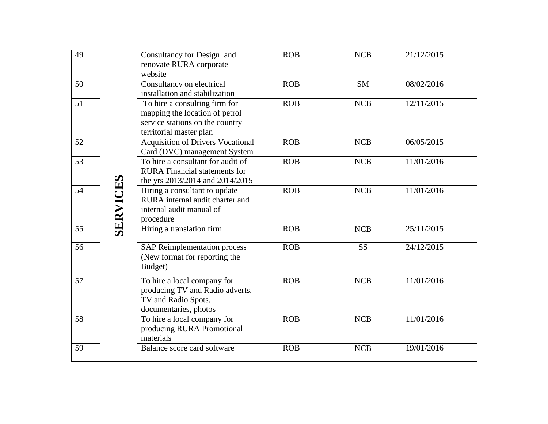| 49 |                 | Consultancy for Design and<br>renovate RURA corporate<br>website                                                              | <b>ROB</b> | <b>NCB</b> | 21/12/2015 |
|----|-----------------|-------------------------------------------------------------------------------------------------------------------------------|------------|------------|------------|
| 50 |                 | Consultancy on electrical<br>installation and stabilization                                                                   | <b>ROB</b> | <b>SM</b>  | 08/02/2016 |
| 51 |                 | To hire a consulting firm for<br>mapping the location of petrol<br>service stations on the country<br>territorial master plan | <b>ROB</b> | <b>NCB</b> | 12/11/2015 |
| 52 |                 | <b>Acquisition of Drivers Vocational</b><br>Card (DVC) management System                                                      | <b>ROB</b> | <b>NCB</b> | 06/05/2015 |
| 53 |                 | To hire a consultant for audit of<br><b>RURA</b> Financial statements for<br>the yrs 2013/2014 and 2014/2015                  | <b>ROB</b> | <b>NCB</b> | 11/01/2016 |
| 54 | <b>SERVICES</b> | Hiring a consultant to update<br>RURA internal audit charter and<br>internal audit manual of<br>procedure                     | <b>ROB</b> | <b>NCB</b> | 11/01/2016 |
| 55 |                 | Hiring a translation firm                                                                                                     | <b>ROB</b> | <b>NCB</b> | 25/11/2015 |
| 56 |                 | <b>SAP Reimplementation process</b><br>(New format for reporting the<br>Budget)                                               | <b>ROB</b> | <b>SS</b>  | 24/12/2015 |
| 57 |                 | To hire a local company for<br>producing TV and Radio adverts,<br>TV and Radio Spots,<br>documentaries, photos                | <b>ROB</b> | <b>NCB</b> | 11/01/2016 |
| 58 |                 | To hire a local company for<br>producing RURA Promotional<br>materials                                                        | <b>ROB</b> | <b>NCB</b> | 11/01/2016 |
| 59 |                 | Balance score card software                                                                                                   | <b>ROB</b> | <b>NCB</b> | 19/01/2016 |